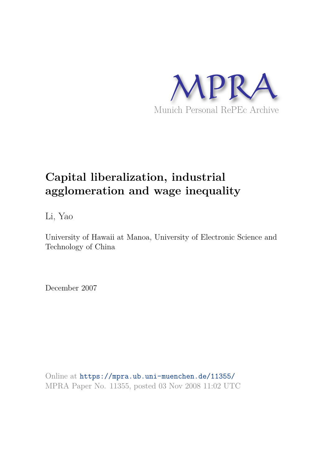

# **Capital liberalization, industrial agglomeration and wage inequality**

Li, Yao

University of Hawaii at Manoa, University of Electronic Science and Technology of China

December 2007

Online at https://mpra.ub.uni-muenchen.de/11355/ MPRA Paper No. 11355, posted 03 Nov 2008 11:02 UTC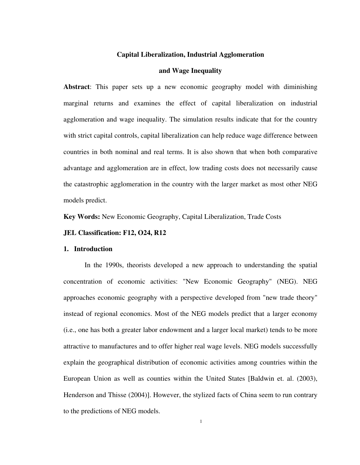# **Capital Liberalization, Industrial Agglomeration**

## **and Wage Inequality**

**Abstract**: This paper sets up a new economic geography model with diminishing marginal returns and examines the effect of capital liberalization on industrial agglomeration and wage inequality. The simulation results indicate that for the country with strict capital controls, capital liberalization can help reduce wage difference between countries in both nominal and real terms. It is also shown that when both comparative advantage and agglomeration are in effect, low trading costs does not necessarily cause the catastrophic agglomeration in the country with the larger market as most other NEG models predict.

**Key Words:** New Economic Geography, Capital Liberalization, Trade Costs

#### **JEL Classification: F12, O24, R12**

# **1. Introduction**

In the 1990s, theorists developed a new approach to understanding the spatial concentration of economic activities: "New Economic Geography" (NEG). NEG approaches economic geography with a perspective developed from "new trade theory" instead of regional economics. Most of the NEG models predict that a larger economy (i.e., one has both a greater labor endowment and a larger local market) tends to be more attractive to manufactures and to offer higher real wage levels. NEG models successfully explain the geographical distribution of economic activities among countries within the European Union as well as counties within the United States [Baldwin et. al. (2003), Henderson and Thisse (2004)]. However, the stylized facts of China seem to run contrary to the predictions of NEG models.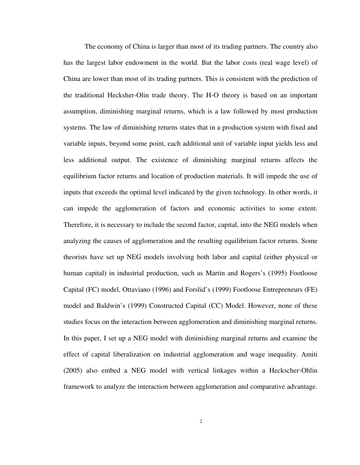The economy of China is larger than most of its trading partners. The country also has the largest labor endowment in the world. But the labor costs (real wage level) of China are lower than most of its trading partners. This is consistent with the prediction of the traditional Hecksher-Olin trade theory. The H-O theory is based on an important assumption, diminishing marginal returns, which is a law followed by most production systems. The law of diminishing returns states that in a production system with fixed and variable inputs, beyond some point, each additional unit of variable input yields less and less additional output. The existence of diminishing marginal returns affects the equilibrium factor returns and location of production materials. It will impede the use of inputs that exceeds the optimal level indicated by the given technology. In other words, it can impede the agglomeration of factors and economic activities to some extent. Therefore, it is necessary to include the second factor, capital, into the NEG models when analyzing the causes of agglomeration and the resulting equilibrium factor returns. Some theorists have set up NEG models involving both labor and capital (either physical or human capital) in industrial production, such as Martin and Rogers's (1995) Footloose Capital (FC) model, Ottaviano (1996) and Forslid's (1999) Footloose Entrepreneurs (FE) model and Baldwin's (1999) Constructed Capital (CC) Model. However, none of these studies focus on the interaction between agglomeration and diminishing marginal returns. In this paper, I set up a NEG model with diminishing marginal returns and examine the effect of capital liberalization on industrial agglomeration and wage inequality. Amiti (2005) also embed a NEG model with vertical linkages within a Heckscher-Ohlin framework to analyze the interaction between agglomeration and comparative advantage.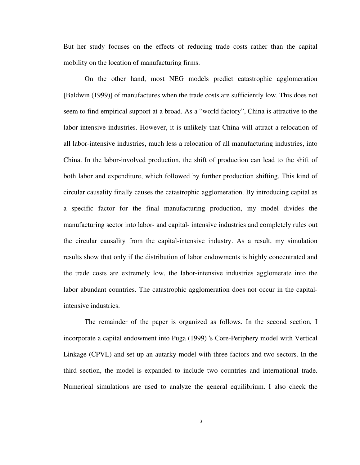But her study focuses on the effects of reducing trade costs rather than the capital mobility on the location of manufacturing firms.

On the other hand, most NEG models predict catastrophic agglomeration [Baldwin (1999)] of manufactures when the trade costs are sufficiently low. This does not seem to find empirical support at a broad. As a "world factory", China is attractive to the labor-intensive industries. However, it is unlikely that China will attract a relocation of all labor-intensive industries, much less a relocation of all manufacturing industries, into China. In the labor-involved production, the shift of production can lead to the shift of both labor and expenditure, which followed by further production shifting. This kind of circular causality finally causes the catastrophic agglomeration. By introducing capital as a specific factor for the final manufacturing production, my model divides the manufacturing sector into labor- and capital- intensive industries and completely rules out the circular causality from the capital-intensive industry. As a result, my simulation results show that only if the distribution of labor endowments is highly concentrated and the trade costs are extremely low, the labor-intensive industries agglomerate into the labor abundant countries. The catastrophic agglomeration does not occur in the capitalintensive industries.

The remainder of the paper is organized as follows. In the second section, I incorporate a capital endowment into Puga (1999) 's Core-Periphery model with Vertical Linkage (CPVL) and set up an autarky model with three factors and two sectors. In the third section, the model is expanded to include two countries and international trade. Numerical simulations are used to analyze the general equilibrium. I also check the

3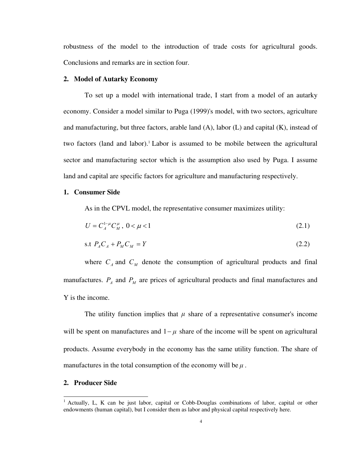robustness of the model to the introduction of trade costs for agricultural goods. Conclusions and remarks are in section four.

#### **2. Model of Autarky Economy**

To set up a model with international trade, I start from a model of an autarky economy. Consider a model similar to Puga (1999)'s model, with two sectors, agriculture and manufacturing, but three factors, arable land  $(A)$ , labor  $(L)$  and capital  $(K)$ , instead of two factors (land and labor).<sup>1</sup> Labor is assumed to be mobile between the agricultural sector and manufacturing sector which is the assumption also used by Puga. I assume land and capital are specific factors for agriculture and manufacturing respectively.

# **1. Consumer Side**

As in the CPVL model, the representative consumer maximizes utility:

$$
U = C_A^{1-\mu} C_M^{\mu}, \ 0 < \mu < 1 \tag{2.1}
$$

$$
\text{s.t } P_A C_A + P_M C_M = Y \tag{2.2}
$$

where  $C_A$  and  $C_M$  denote the consumption of agricultural products and final manufactures.  $P_A$  and  $P_M$  are prices of agricultural products and final manufactures and Y is the income.

The utility function implies that  $\mu$  share of a representative consumer's income will be spent on manufactures and  $1-\mu$  share of the income will be spent on agricultural products. Assume everybody in the economy has the same utility function. The share of manufactures in the total consumption of the economy will be  $\mu$ .

#### **2. Producer Side**

 $\overline{a}$ 

<sup>&</sup>lt;sup>1</sup> Actually, L, K can be just labor, capital or Cobb-Douglas combinations of labor, capital or other endowments (human capital), but I consider them as labor and physical capital respectively here.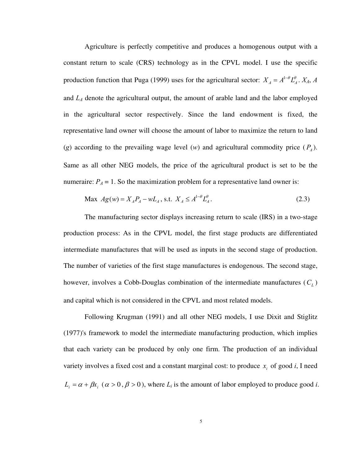Agriculture is perfectly competitive and produces a homogenous output with a constant return to scale (CRS) technology as in the CPVL model. I use the specific production function that Puga (1999) uses for the agricultural sector:  $X_A = A^{1-\theta} L_A^{\theta}$ .  $X_A$ , A and *LA* denote the agricultural output, the amount of arable land and the labor employed in the agricultural sector respectively. Since the land endowment is fixed, the representative land owner will choose the amount of labor to maximize the return to land (*g*) according to the prevailing wage level (*w*) and agricultural commodity price  $(P_A)$ . Same as all other NEG models, the price of the agricultural product is set to be the numeraire:  $P_A = 1$ . So the maximization problem for a representative land owner is:

$$
\text{Max } Ag(w) = X_A P_A - w L_A, \text{ s.t. } X_A \le A^{1-\theta} L_A^{\theta}.
$$
\n(2.3)

The manufacturing sector displays increasing return to scale (IRS) in a two-stage production process: As in the CPVL model, the first stage products are differentiated intermediate manufactures that will be used as inputs in the second stage of production. The number of varieties of the first stage manufactures is endogenous. The second stage, however, involves a Cobb-Douglas combination of the intermediate manufactures ( $C_L$ ) and capital which is not considered in the CPVL and most related models.

Following Krugman (1991) and all other NEG models, I use Dixit and Stiglitz (1977)'s framework to model the intermediate manufacturing production, which implies that each variety can be produced by only one firm. The production of an individual variety involves a fixed cost and a constant marginal cost: to produce  $x_i$  of good *i*, I need  $L_i = \alpha + \beta x_i$  ( $\alpha > 0$ ,  $\beta > 0$ ), where  $L_i$  is the amount of labor employed to produce good *i*.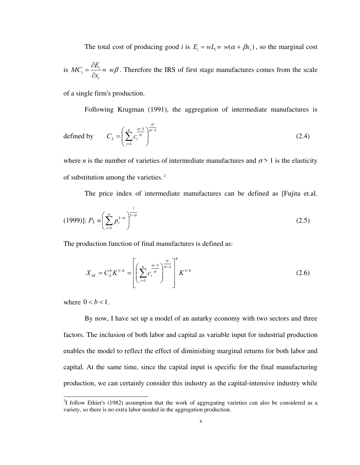The total cost of producing good *i* is  $E_i = wL_i = w(\alpha + \beta x_i)$ , so the marginal cost is  $MC_i = \frac{CD_i}{2a_i}$ *i*  $MC_i = \frac{\partial E}{\partial \tau}$ *x*  $=\frac{\partial}{\partial t}$ ∂  $= w\beta$ . Therefore the IRS of first stage manufactures comes from the scale

of a single firm's production.

Following Krugman (1991), the aggregation of intermediate manufactures is

defined by 
$$
C_L = \left(\sum_{i=1}^{n} c_i^{\frac{\sigma-1}{\sigma}}\right)^{\frac{\sigma}{\sigma-1}}
$$
(2.4)

where *n* is the number of varieties of intermediate manufactures and  $\sigma$  > 1 is the elasticity of substitution among the varieties.<sup>2</sup>

The price index of intermediate manufactures can be defined as [Fujita et.al.

$$
(1999)]: P_L = \left(\sum_{i=1}^n p_i^{1-\sigma}\right)^{\frac{1}{1-\sigma}}\tag{2.5}
$$

The production function of final manufactures is defined as:

$$
X_M = C_L^b K^{1-b} = \left[ \left( \sum_{i=1}^n c_i^{\frac{\sigma-1}{\sigma}} \right)^{\frac{\sigma}{\sigma-1}} \right]^b K^{1-b}
$$
 (2.6)

where  $0 < b < 1$ .

-

By now, I have set up a model of an autarky economy with two sectors and three factors. The inclusion of both labor and capital as variable input for industrial production enables the model to reflect the effect of diminishing marginal returns for both labor and capital. At the same time, since the capital input is specific for the final manufacturing production, we can certainly consider this industry as the capital-intensive industry while

 $2<sup>2</sup>$ I follow Ethier's (1982) assumption that the work of aggregating varieties can also be considered as a variety, so there is no extra labor needed in the aggregation production.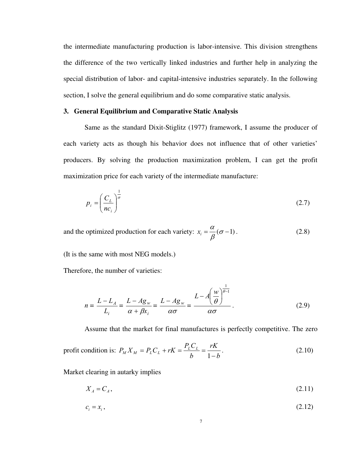the intermediate manufacturing production is labor-intensive. This division strengthens the difference of the two vertically linked industries and further help in analyzing the special distribution of labor- and capital-intensive industries separately. In the following section, I solve the general equilibrium and do some comparative static analysis.

# **3. General Equilibrium and Comparative Static Analysis**

Same as the standard Dixit-Stiglitz (1977) framework, I assume the producer of each variety acts as though his behavior does not influence that of other varieties' producers. By solving the production maximization problem, I can get the profit maximization price for each variety of the intermediate manufacture:

$$
p_i = \left(\frac{C_L}{nc_i}\right)^{\frac{1}{\sigma}}
$$
\n(2.7)

and the optimized production for each variety:  $x_i = \frac{\alpha}{\beta} (\sigma - 1)$  $=\frac{a}{a}(\sigma-1)$ . (2.8)

(It is the same with most NEG models.)

Therefore, the number of varieties:

$$
n = \frac{L - L_A}{L_i} = \frac{L - Ag_w}{\alpha + \beta x_i} = \frac{L - Ag_w}{\alpha \sigma} = \frac{L - A\left(\frac{w}{\theta}\right)^{\frac{1}{\theta - 1}}}{\alpha \sigma}.
$$
 (2.9)

Assume that the market for final manufactures is perfectly competitive. The zero

$$
\text{profit condition is: } P_M X_M = P_L C_L + rK = \frac{P_L C_L}{b} = \frac{rK}{1 - b} \,. \tag{2.10}
$$

Market clearing in autarky implies

$$
X_A = C_A,\tag{2.11}
$$

$$
c_i = x_i, \tag{2.12}
$$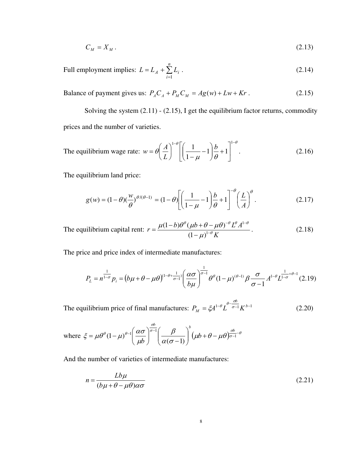$$
C_M = X_M. \tag{2.13}
$$

Full employment implies:  $L = L_A + \sum$ =  $=L_4+\sum_{ }^n$ *i*  $L = L_A + \sum L_i$ 1  $(2.14)$ 

Balance of payment gives us:  $P_A C_A + P_M C_M = Ag(w) + Lw + Kr$ . (2.15)

Solving the system (2.11) - (2.15), I get the equilibrium factor returns, commodity prices and the number of varieties.

The equilibrium wage rate: 
$$
w = \theta \left(\frac{A}{L}\right)^{1-\theta} \left[ \left(\frac{1}{1-\mu} - 1\right) \frac{b}{\theta} + 1 \right]^{1-\theta}
$$
. (2.16)

The equilibrium land price:

$$
g(w) = (1 - \theta)\left(\frac{w}{\theta}\right)^{\theta/(\theta - 1)} = (1 - \theta)\left[\left(\frac{1}{1 - \mu} - 1\right)\frac{b}{\theta} + 1\right]^{-\theta}\left(\frac{L}{A}\right)^{\theta}.
$$
 (2.17)

The equilibrium capital rent: 1 1  $(1-b)\theta^{\theta}(\mu b + \theta - \mu \theta)$  $(1 - \mu)$  $r = \frac{\mu(1-b)\theta^{\theta}(\mu b + \theta - \mu \theta)^{-\theta}L^{\theta}A}{\theta^{\theta}L^{\theta}L^{\theta}}$ *K*  $\theta$  (  $\partial$   $\partial$   $\partial$   $\partial$   $\partial$   $\theta$   $I^{1-\theta}$ θ  $\mu(1-b)\theta^{\theta}(\mu b+\theta-\mu\theta)$ μ  $-\theta$   $\mathbf{I}^{\theta}$   $\mathbf{I}^{\mathbf{-1}}$ −  $=\frac{\mu(1-b)\theta^{\theta}(\mu b+\theta-)}{2}$ −  $(2.18)$ 

The price and price index of intermediate manufactures:

$$
P_{L} = n^{\frac{1}{1-\sigma}} p_{i} = (b\mu + \theta - \mu\theta)^{(1-\theta + \frac{1}{\sigma-1})} \left(\frac{\alpha\sigma}{b\mu}\right)^{\frac{1}{\sigma-1}} \theta^{\theta} (1-\mu)^{(\theta-1)} \beta \frac{\sigma}{\sigma-1} A^{1-\theta} L^{\frac{1}{1-\sigma}+\theta-1} (2.19)
$$

The equilibrium price of final manufactures:  $P_M = \xi A^{1-\theta} L^{\theta-\frac{\omega}{\sigma-1}} K^{\theta-1}$ *b*  $P_M = \xi A^{1-\theta} L^{-\sigma-1} K$  $\zeta A^{1-\theta} L^{\theta-\frac{\sigma b}{\sigma-1}} K^{b-1}$  (2.20)

where 
$$
\xi = \mu \theta^{\theta} (1 - \mu)^{\theta - 1} \left( \frac{\alpha \sigma}{\mu b} \right)^{\frac{\sigma}{\sigma - 1}} \left( \frac{\beta}{\alpha (\sigma - 1)} \right)^{b} (\mu b + \theta - \mu \theta)^{\frac{\sigma}{\sigma - 1} - \theta}
$$

And the number of varieties of intermediate manufactures:

$$
n = \frac{Lb\mu}{(b\mu + \theta - \mu\theta)\alpha\sigma}
$$
\n(2.21)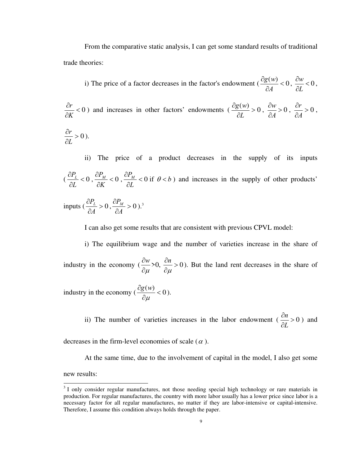From the comparative static analysis, I can get some standard results of traditional trade theories:

i) The price of a factor decreases in the factor's endowment  $\left(\frac{\partial g(w)}{\partial x}\right) < 0$ ∂ ∂ *A*  $\frac{g(w)}{g(w)} < 0, \frac{\partial w}{g(x)} < 0$ *L*  $\frac{\partial w}{\partial x}$ ∂ ,

 $< 0$ ∂ ∂ *K*  $\frac{dr}{dr}$  < 0 ) and increases in other factors' endowments ( $\frac{\partial g(w)}{\partial r}$  > 0 ∂ ∂ *L*  $\frac{g(w)}{g(x)} > 0$ ,  $\frac{\partial w}{\partial x} > 0$ *A*  $\frac{\partial w}{\partial x}$ ∂  $,\frac{0!}{24}>0$ ∂ ∂ *A*  $\frac{r}{t} > 0$ ,  $> 0$ ∂ ∂ *L*  $\frac{r}{r} > 0$ ).

ii) The price of a product decreases in the supply of its inputs  $\left(\frac{U_{L}}{2r} < 0\right)$ ∂ ∂ *L*  $\frac{P_L}{P_L}$  < 0,  $\frac{\partial P_M}{\partial V}$  < 0 ∂ ∂ *K*  $\frac{P_M}{\gamma_M}$  < 0,  $\frac{\partial P_M}{\partial M}$  < 0 ∂ ∂ *L*  $\frac{P_M}{\gamma}$  < 0 if  $\theta$  < *b*) and increases in the supply of other products' inputs  $\left(\frac{G_L}{2}\right) > 0$ ∂ ∂ *A*  $\frac{P_L}{P_L} > 0$ ,  $\frac{\partial P_M}{\partial L} > 0$ ∂ ∂ *A*  $\frac{P_M}{24} > 0$ ).<sup>3</sup>

I can also get some results that are consistent with previous CPVL model:

i) The equilibrium wage and the number of varieties increase in the share of industry in the economy ( ∂<sup>μ</sup>  $\frac{\partial w}{\partial y} > 0$ ,  $\frac{\partial w}{\partial y} > 0$ μ  $\frac{\partial n}{\partial n}$ ∂ ). But the land rent decreases in the share of

industry in the economy ( $\frac{\partial g(w)}{\partial q}$  < 0 ∂ ∂ μ  $\frac{g(w)}{g(w)} < 0$ .

> ii) The number of varieties increases in the labor endowment  $\left(\frac{\partial n}{\partial x}\right) > 0$ *L*  $\frac{\partial n}{\partial t}$ ∂ ) and

decreases in the firm-level economies of scale  $(\alpha)$ .

At the same time, due to the involvement of capital in the model, I also get some new results:

<sup>&</sup>lt;sup>3</sup> I only consider regular manufactures, not those needing special high technology or rare materials in production. For regular manufactures, the country with more labor usually has a lower price since labor is a necessary factor for all regular manufactures, no matter if they are labor-intensive or capital-intensive. Therefore, I assume this condition always holds through the paper.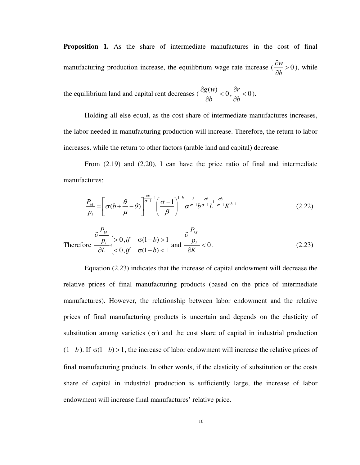**Proposition 1.** As the share of intermediate manufactures in the cost of final manufacturing production increase, the equilibrium wage rate increase  $\left(\frac{\partial w}{\partial x}\right) > 0$ *b*  $\frac{\partial w}{\partial t}$ ∂ ), while

the equilibrium land and capital rent decreases ( $\frac{\partial g(w)}{\partial x}$  < 0 ∂ ∂ *b*  $\frac{g(w)}{g(w)} < 0, \frac{\partial r}{g(w)} < 0$ ∂ ∂ *b*  $\frac{r}{t}$  < 0).

Holding all else equal, as the cost share of intermediate manufactures increases, the labor needed in manufacturing production will increase. Therefore, the return to labor increases, while the return to other factors (arable land and capital) decrease.

From (2.19) and (2.20), I can have the price ratio of final and intermediate manufactures:

$$
\frac{P_M}{p_i} = \left[\sigma(b + \frac{\theta}{\mu} - \theta)\right]^{\frac{\sigma b}{\sigma - 1} - 1} \left(\frac{\sigma - 1}{\beta}\right)^{1 - b} \alpha^{\frac{b}{\sigma - 1}} b^{\frac{-\sigma b}{\sigma - 1}} L^{1 - \frac{\sigma b}{\sigma - 1}} K^{b - 1} \tag{2.22}
$$

Therefore 
$$
\frac{\partial \frac{P_M}{p_i}}{\partial L} \begin{cases} > 0, & \text{if } \sigma(1-b) > 1 \\ < 0, & \text{if } \sigma(1-b) < 1 \end{cases}
$$
 and 
$$
\frac{\partial \frac{P_M}{p_i}}{\partial K} < 0.
$$
 (2.23)

Equation (2.23) indicates that the increase of capital endowment will decrease the relative prices of final manufacturing products (based on the price of intermediate manufactures). However, the relationship between labor endowment and the relative prices of final manufacturing products is uncertain and depends on the elasticity of substitution among varieties ( $\sigma$ ) and the cost share of capital in industrial production  $(1-b)$ . If  $\sigma(1-b) > 1$ , the increase of labor endowment will increase the relative prices of final manufacturing products. In other words, if the elasticity of substitution or the costs share of capital in industrial production is sufficiently large, the increase of labor endowment will increase final manufactures' relative price.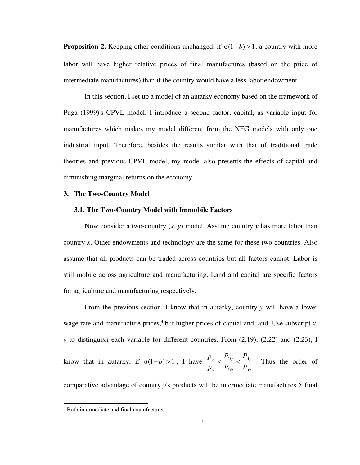**Proposition 2.** Keeping other conditions unchanged, if  $\sigma(1-b) > 1$ , a country with more labor will have higher relative prices of final manufactures (based on the price of intermediate manufactures) than if the country would have a less labor endowment.

In this section, I set up a model of an autarky economy based on the framework of Puga (1999)'s CPVL model. I introduce a second factor, capital, as variable input for manufactures which makes my model different from the NEG models with only one industrial input. Therefore, besides the results similar with that of traditional trade theories and previous CPVL model, my model also presents the effects of capital and diminishing marginal returns on the economy.

## **3. The Two-Country Model**

## **3.1. The Two-Country Model with Immobile Factors**

Now consider a two-country (*x*, *y*) model. Assume country *y* has more labor than country *x*. Other endowments and technology are the same for these two countries. Also assume that all products can be traded across countries but all factors cannot. Labor is still mobile across agriculture and manufacturing. Land and capital are specific factors for agriculture and manufacturing respectively.

From the previous section, I know that in autarky, country *y* will have a lower wage rate and manufacture prices,<sup>4</sup> but higher prices of capital and land. Use subscript  $x$ , *y* to distinguish each variable for different countries. From (2.19), (2.22) and (2.23), I know that in autarky, if  $\sigma(1 - b) > 1$ , I have *Ax Ay Mx My x y P P P P p p*  $\frac{y}{\sqrt{N}} < \frac{y}{\sqrt{N}}$ . Thus the order of comparative advantage of country *y*'s products will be intermediate manufactures > final

 4 Both intermediate and final manufactures.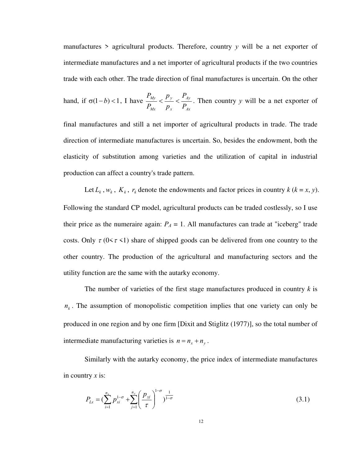manufactures > agricultural products. Therefore, country *y* will be a net exporter of intermediate manufactures and a net importer of agricultural products if the two countries trade with each other. The trade direction of final manufactures is uncertain. On the other

hand, if 
$$
\sigma(1-b) < 1
$$
, I have  $\frac{P_{My}}{P_{Mx}} < \frac{P_y}{P_x} < \frac{P_{Ay}}{P_{Ax}}$ . Then country *y* will be a net exporter of

final manufactures and still a net importer of agricultural products in trade. The trade direction of intermediate manufactures is uncertain. So, besides the endowment, both the elasticity of substitution among varieties and the utilization of capital in industrial production can affect a country's trade pattern.

Let  $L_k$ ,  $w_k$ ,  $K_k$ ,  $r_k$  denote the endowments and factor prices in country  $k$  ( $k = x, y$ ). Following the standard CP model, agricultural products can be traded costlessly, so I use their price as the numeraire again:  $P_A = 1$ . All manufactures can trade at "iceberg" trade costs. Only  $\tau$  (0< $\tau$  <1) share of shipped goods can be delivered from one country to the other country. The production of the agricultural and manufacturing sectors and the utility function are the same with the autarky economy.

The number of varieties of the first stage manufactures produced in country  $k$  is  $n_k$ . The assumption of monopolistic competition implies that one variety can only be produced in one region and by one firm [Dixit and Stiglitz (1977)], so the total number of intermediate manufacturing varieties is  $n = n_x + n_y$ .

Similarly with the autarky economy, the price index of intermediate manufactures in country *x* is:

$$
P_{Lx} = \left(\sum_{i=1}^{n_x} p_{xi}^{1-\sigma} + \sum_{j=1}^{n_y} \left(\frac{p_{yj}}{\tau}\right)^{1-\sigma}\right)^{1-\sigma} (3.1)
$$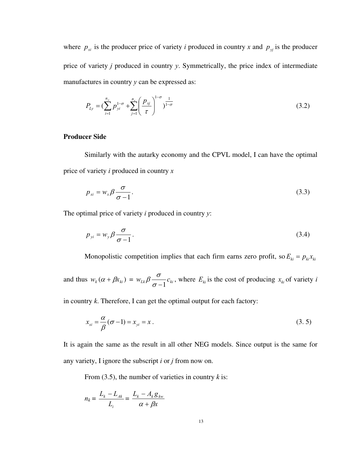where  $p_{x_i}$  is the producer price of variety *i* produced in country *x* and  $p_{y_j}$  is the producer price of variety *j* produced in country *y*. Symmetrically, the price index of intermediate manufactures in country *y* can be expressed as:

$$
P_{Ly} = \left(\sum_{i=1}^{n_y} p_{yi}^{1-\sigma} + \sum_{j=1}^{n_x} \left(\frac{p_{xj}}{\tau}\right)^{1-\sigma}\right)^{1-\sigma}
$$
(3.2)

# **Producer Side**

Similarly with the autarky economy and the CPVL model, I can have the optimal price of variety *i* produced in country *x*

$$
p_{xi} = w_x \beta \frac{\sigma}{\sigma - 1}.
$$
\n(3.3)

The optimal price of variety *i* produced in country *y*:

$$
p_{yi} = w_y \beta \frac{\sigma}{\sigma - 1}.
$$
\n(3.4)

Monopolistic competition implies that each firm earns zero profit, so  $E_{ki} = p_{ki}x_{ki}$ 

and thus  $w_k (\alpha + \beta x_{ki}) = w_{lk} \beta \frac{\sigma}{\sigma - 1} c_{ki}$  $\beta \frac{\sigma}{\sigma}$ <sub>*c<sub>ki</sub>*</sub>, where  $E_{ki}$  is the cost of producing  $x_{ki}$  of variety *i* 

in country *k*. Therefore, I can get the optimal output for each factory:

$$
x_{xi} = \frac{\alpha}{\beta} (\sigma - 1) = x_{yi} = x.
$$
\n(3.5)

It is again the same as the result in all other NEG models. Since output is the same for any variety, I ignore the subscript *i* or *j* from now on.

From  $(3.5)$ , the number of varieties in country *k* is:

$$
n_k = \frac{L_k - L_{Ak}}{L_i} = \frac{L_k - A_k g_{kw}}{\alpha + \beta x}
$$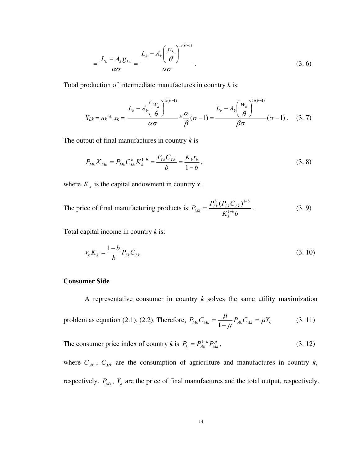$$
=\frac{L_k - A_k g_{kw}}{\alpha \sigma} = \frac{L_k - A_k \left(\frac{w_k}{\theta}\right)^{1/(\theta-1)}}{\alpha \sigma}.
$$
\n(3.6)

Total production of intermediate manufactures in country *k* is:

$$
X_{Lk} = n_k * x_k = \frac{L_k - A_k \left(\frac{w_k}{\theta}\right)^{1/(\theta-1)}}{\alpha \sigma} * \frac{\alpha}{\beta} (\sigma - 1) = \frac{L_k - A_k \left(\frac{w_k}{\theta}\right)^{1/(\theta-1)}}{\beta \sigma} (\sigma - 1). \quad (3.7)
$$

The output of final manufactures in country *k* is

$$
P_{Mk} X_{Mk} = P_{Mk} C_{Lk}^{b} K_{k}^{1-b} = \frac{P_{Lk} C_{Lk}}{b} = \frac{K_{k} r_{k}}{1-b},
$$
\n(3.8)

where  $K_x$  is the capital endowment in country *x*.

The price of final manufacturing products is:  $K_k^{1-b}b$  $P_{Mk} = \frac{P_{Lk}^{b} (P_{Lk} C)}{V^{1-b}}$ *k b Lk Lk b*  $P_{Mk} = \frac{I_{Lk} (I_{Lk})}{V^{1-1}}$ −  $=\frac{1}{K}\frac{1}{k}$  $(P_{lk}C_{lk})^{1}$  $(3.9)$ 

Total capital income in country *k* is:

$$
r_k K_k = \frac{1-b}{b} P_{lk} C_{lk}
$$
\n(3.10)

# **Consumer Side**

A representative consumer in country *k* solves the same utility maximization problem as equation (2.1), (2.2). Therefore,  $P_{Mk}C_{Mk} = \frac{\mu}{1-\mu}P_{Ak}C_{Ak} = \mu Y_k$  $\frac{\mu}{\mu} P_{\scriptscriptstyle{A}k} C_{\scriptscriptstyle{A}k} =$ − = 1 (3. 11)

The consumer price index of country *k* is  $P_k = P_{Ak}^{1-\mu} P_{Mk}^{\mu}$  $(3. 12)$ 

where  $C_{Ak}$ ,  $C_{Mk}$  are the consumption of agriculture and manufactures in country  $k$ , respectively.  $P_{Mx}$ ,  $Y_k$  are the price of final manufactures and the total output, respectively.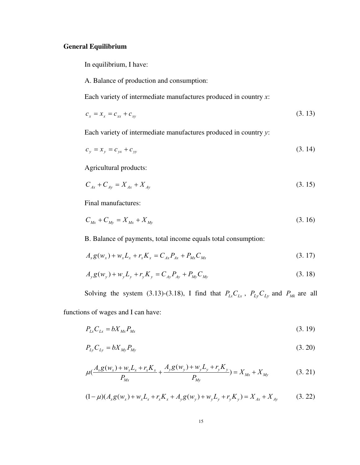# **General Equilibrium**

In equilibrium, I have:

A. Balance of production and consumption:

Each variety of intermediate manufactures produced in country *x*:

$$
c_x = x_x + c_{xy}
$$
 (3.13)

Each variety of intermediate manufactures produced in country *y*:

$$
c_y = x_y = c_{yx} + c_{yy}
$$
 (3.14)

Agricultural products:

$$
C_{Ax} + C_{Ay} = X_{Ax} + X_{Ay}
$$
\n(3.15)

Final manufactures:

$$
C_{Mx} + C_{My} = X_{Mx} + X_{My}
$$
\n(3.16)

B. Balance of payments, total income equals total consumption:

$$
A_x g(w_x) + w_x L_x + r_x K_x = C_{Ax} P_{Ax} + P_{Mx} C_{Mx}
$$
\n(3.17)

$$
A_y g(w_y) + w_y L_y + r_y K_y = C_{Ay} P_{Ay} + P_{My} C_{My}
$$
\n(3.18)

Solving the system (3.13)-(3.18), I find that  $P_{Lx}C_{Lx}$ ,  $P_{Ly}C_{Ly}$  and  $P_{Mk}$  are all

functions of wages and I can have:

$$
P_{Lx}C_{Lx} = bX_{Mx}P_{Mx}
$$
\n(3.19)

$$
P_{Ly}C_{Ly} = bX_{My}P_{My} \tag{3.20}
$$

$$
\mu(\frac{A_x g(w_x) + w_x L_x + r_x K_x}{P_{Mx}} + \frac{A_y g(w_y) + w_y L_y + r_y K_y}{P_{My}}) = X_{Mx} + X_{My}
$$
(3.21)

$$
(1 - \mu)(A_x g(w_x) + w_x L_x + r_x K_x + A_y g(w_y) + w_y L_y + r_y K_y) = X_{Ax} + X_{Ay}
$$
(3.22)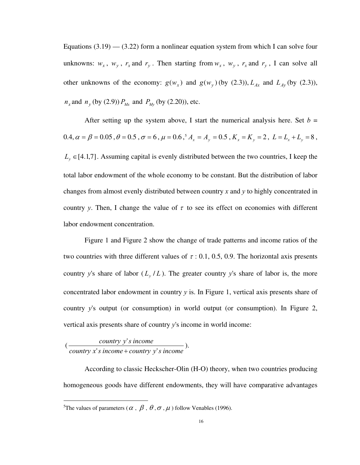Equations  $(3.19)$  —  $(3.22)$  form a nonlinear equation system from which I can solve four unknowns:  $w_x$ ,  $w_y$ ,  $r_x$  and  $r_y$ . Then starting from  $w_x$ ,  $w_y$ ,  $r_x$  and  $r_y$ , I can solve all other unknowns of the economy:  $g(w_x)$  and  $g(w_y)$  (by (2.3)),  $L_{Ax}$  and  $L_{Ay}$  (by (2.3)),  $n_x$  and  $n_y$  (by (2.9))  $P_{Mx}$  and  $P_{My}$  (by (2.20)), etc.

After setting up the system above, I start the numerical analysis here. Set  $b =$  $0.4, \alpha = \beta = 0.05$ ,  $\theta = 0.5$ ,  $\sigma = 6$ ,  $\mu = 0.6$ ,  $^5 A_x = A_y = 0.5$ ,  $K_x = K_y = 2$ ,  $L = L_x + L_y = 8$ ,  $L_y \in [4.1,7]$ . Assuming capital is evenly distributed between the two countries, I keep the total labor endowment of the whole economy to be constant. But the distribution of labor changes from almost evenly distributed between country *x* and *y* to highly concentrated in country *y*. Then, I change the value of  $\tau$  to see its effect on economies with different labor endowment concentration.

Figure 1 and Figure 2 show the change of trade patterns and income ratios of the two countries with three different values of  $\tau$  : 0.1, 0.5, 0.9. The horizontal axis presents country *y*'s share of labor  $(L_y/L)$ . The greater country *y*'s share of labor is, the more concentrated labor endowment in country  $y$  is. In Figure 1, vertical axis presents share of country *y*'s output (or consumption) in world output (or consumption). In Figure 2, vertical axis presents share of country *y*'s income in world income:

 ( *country*  $x$ 's *income* + *country*  $y$ 's *income country y's* income 's income + country  $v'$  $\frac{v'}{+}$ ).

 $\overline{a}$ 

According to classic Heckscher-Olin (H-O) theory, when two countries producing homogeneous goods have different endowments, they will have comparative advantages

<sup>&</sup>lt;sup>5</sup>The values of parameters ( $\alpha$ ,  $\beta$ ,  $\theta$ ,  $\sigma$ ,  $\mu$ ) follow Venables (1996).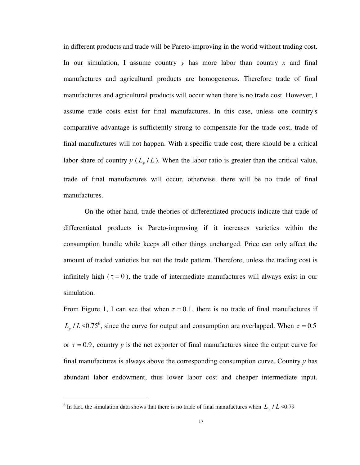in different products and trade will be Pareto-improving in the world without trading cost. In our simulation, I assume country *y* has more labor than country *x* and final manufactures and agricultural products are homogeneous. Therefore trade of final manufactures and agricultural products will occur when there is no trade cost. However, I assume trade costs exist for final manufactures. In this case, unless one country's comparative advantage is sufficiently strong to compensate for the trade cost, trade of final manufactures will not happen. With a specific trade cost, there should be a critical labor share of country  $y(L_y/L)$ . When the labor ratio is greater than the critical value, trade of final manufactures will occur, otherwise, there will be no trade of final manufactures.

On the other hand, trade theories of differentiated products indicate that trade of differentiated products is Pareto-improving if it increases varieties within the consumption bundle while keeps all other things unchanged. Price can only affect the amount of traded varieties but not the trade pattern. Therefore, unless the trading cost is infinitely high ( $\tau = 0$ ), the trade of intermediate manufactures will always exist in our simulation.

From Figure 1, I can see that when  $\tau = 0.1$ , there is no trade of final manufactures if  $L_y$  / L <0.75<sup>6</sup>, since the curve for output and consumption are overlapped. When  $\tau = 0.5$ or  $\tau = 0.9$ , country *y* is the net exporter of final manufactures since the output curve for final manufactures is always above the corresponding consumption curve. Country *y* has abundant labor endowment, thus lower labor cost and cheaper intermediate input.

 $\overline{a}$ 

<sup>&</sup>lt;sup>6</sup> In fact, the simulation data shows that there is no trade of final manufactures when  $L_y/L$  <0.79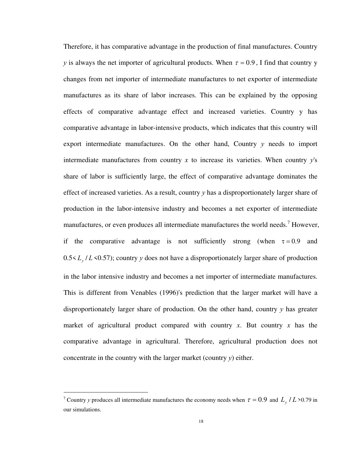Therefore, it has comparative advantage in the production of final manufactures. Country *y* is always the net importer of agricultural products. When  $\tau = 0.9$ , I find that country y changes from net importer of intermediate manufactures to net exporter of intermediate manufactures as its share of labor increases. This can be explained by the opposing effects of comparative advantage effect and increased varieties. Country y has comparative advantage in labor-intensive products, which indicates that this country will export intermediate manufactures. On the other hand, Country *y* needs to import intermediate manufactures from country *x* to increase its varieties. When country *y*'s share of labor is sufficiently large, the effect of comparative advantage dominates the effect of increased varieties. As a result, country *y* has a disproportionately larger share of production in the labor-intensive industry and becomes a net exporter of intermediate manufactures, or even produces all intermediate manufactures the world needs.<sup>7</sup> However, if the comparative advantage is not sufficiently strong (when  $\tau = 0.9$  and 0.5< *L<sup>y</sup>* / *L* <0.57); country *y* does not have a disproportionately larger share of production in the labor intensive industry and becomes a net importer of intermediate manufactures. This is different from Venables (1996)'s prediction that the larger market will have a disproportionately larger share of production. On the other hand, country *y* has greater market of agricultural product compared with country *x*. But country *x* has the comparative advantage in agricultural. Therefore, agricultural production does not concentrate in the country with the larger market (country *y*) either.

 $\overline{a}$ 

<sup>&</sup>lt;sup>7</sup> Country *y* produces all intermediate manufactures the economy needs when  $\tau = 0.9$  and  $L_y$  / *L* >0.79 in our simulations.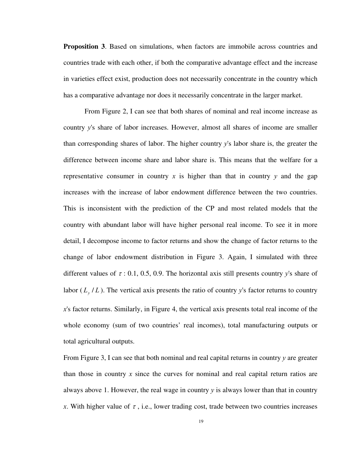**Proposition 3**. Based on simulations, when factors are immobile across countries and countries trade with each other, if both the comparative advantage effect and the increase in varieties effect exist, production does not necessarily concentrate in the country which has a comparative advantage nor does it necessarily concentrate in the larger market.

From Figure 2, I can see that both shares of nominal and real income increase as country *y*'s share of labor increases. However, almost all shares of income are smaller than corresponding shares of labor. The higher country *y*'s labor share is, the greater the difference between income share and labor share is. This means that the welfare for a representative consumer in country  $x$  is higher than that in country  $y$  and the gap increases with the increase of labor endowment difference between the two countries. This is inconsistent with the prediction of the CP and most related models that the country with abundant labor will have higher personal real income. To see it in more detail, I decompose income to factor returns and show the change of factor returns to the change of labor endowment distribution in Figure 3. Again, I simulated with three different values of <sup>τ</sup> : 0.1, 0.5, 0.9. The horizontal axis still presents country *y*'s share of labor  $(L_y/L)$ . The vertical axis presents the ratio of country *y*'s factor returns to country *x*'s factor returns. Similarly, in Figure 4, the vertical axis presents total real income of the whole economy (sum of two countries' real incomes), total manufacturing outputs or total agricultural outputs.

From Figure 3, I can see that both nominal and real capital returns in country *y* are greater than those in country *x* since the curves for nominal and real capital return ratios are always above 1. However, the real wage in country *y* is always lower than that in country *x*. With higher value of  $\tau$ , i.e., lower trading cost, trade between two countries increases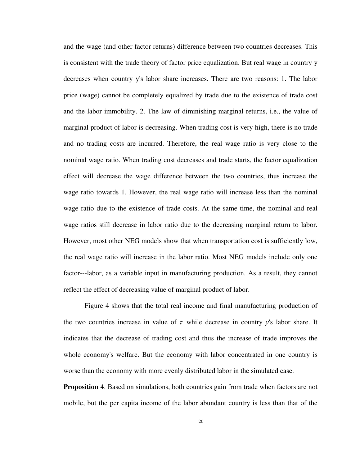and the wage (and other factor returns) difference between two countries decreases. This is consistent with the trade theory of factor price equalization. But real wage in country y decreases when country y's labor share increases. There are two reasons: 1. The labor price (wage) cannot be completely equalized by trade due to the existence of trade cost and the labor immobility. 2. The law of diminishing marginal returns, i.e., the value of marginal product of labor is decreasing. When trading cost is very high, there is no trade and no trading costs are incurred. Therefore, the real wage ratio is very close to the nominal wage ratio. When trading cost decreases and trade starts, the factor equalization effect will decrease the wage difference between the two countries, thus increase the wage ratio towards 1. However, the real wage ratio will increase less than the nominal wage ratio due to the existence of trade costs. At the same time, the nominal and real wage ratios still decrease in labor ratio due to the decreasing marginal return to labor. However, most other NEG models show that when transportation cost is sufficiently low, the real wage ratio will increase in the labor ratio. Most NEG models include only one factor---labor, as a variable input in manufacturing production. As a result, they cannot reflect the effect of decreasing value of marginal product of labor.

 Figure 4 shows that the total real income and final manufacturing production of the two countries increase in value of  $\tau$  while decrease in country *y*'s labor share. It indicates that the decrease of trading cost and thus the increase of trade improves the whole economy's welfare. But the economy with labor concentrated in one country is worse than the economy with more evenly distributed labor in the simulated case.

**Proposition 4**. Based on simulations, both countries gain from trade when factors are not mobile, but the per capita income of the labor abundant country is less than that of the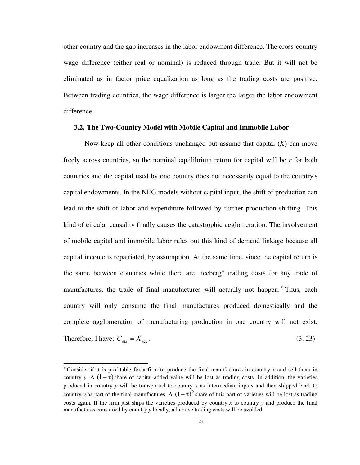other country and the gap increases in the labor endowment difference. The cross-country wage difference (either real or nominal) is reduced through trade. But it will not be eliminated as in factor price equalization as long as the trading costs are positive. Between trading countries, the wage difference is larger the larger the labor endowment difference.

# **3.2. The Two-Country Model with Mobile Capital and Immobile Labor**

Now keep all other conditions unchanged but assume that capital (*K*) can move freely across countries, so the nominal equilibrium return for capital will be *r* for both countries and the capital used by one country does not necessarily equal to the country's capital endowments. In the NEG models without capital input, the shift of production can lead to the shift of labor and expenditure followed by further production shifting. This kind of circular causality finally causes the catastrophic agglomeration. The involvement of mobile capital and immobile labor rules out this kind of demand linkage because all capital income is repatriated, by assumption. At the same time, since the capital return is the same between countries while there are "iceberg" trading costs for any trade of manufactures, the trade of final manufactures will actually not happen.<sup>8</sup> Thus, each country will only consume the final manufactures produced domestically and the complete agglomeration of manufacturing production in one country will not exist. Therefore, I have:  $C_{Mk} = X_{Mk}$ . (3. 23)

 $\overline{a}$ 

<sup>&</sup>lt;sup>8</sup> Consider if it is profitable for a firm to produce the final manufactures in country  $x$  and sell them in country *y*. A  $(1 - \tau)$  share of capital-added value will be lost as trading costs. In addition, the varieties produced in country *y* will be transported to country *x* as intermediate inputs and then shipped back to country *y* as part of the final manufactures. A  $(1 - \tau)^2$  share of this part of varieties will be lost as trading costs again. If the firm just ships the varieties produced by country *x* to country *y* and produce the final manufactures consumed by country *y* locally, all above trading costs will be avoided.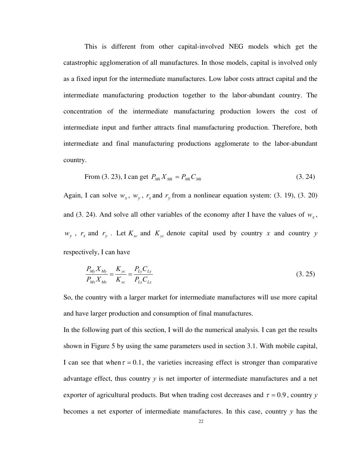This is different from other capital-involved NEG models which get the catastrophic agglomeration of all manufactures. In those models, capital is involved only as a fixed input for the intermediate manufactures. Low labor costs attract capital and the intermediate manufacturing production together to the labor-abundant country. The concentration of the intermediate manufacturing production lowers the cost of intermediate input and further attracts final manufacturing production. Therefore, both intermediate and final manufacturing productions agglomerate to the labor-abundant country.

From (3. 23), I can get 
$$
P_{Mk} X_{Mk} = P_{Mk} C_{Mk}
$$
 (3. 24)

Again, I can solve  $w_x$ ,  $w_y$ ,  $r_x$  and  $r_y$  from a nonlinear equation system: (3. 19), (3. 20) and (3. 24). And solve all other variables of the economy after I have the values of  $w_x$ ,  $w_y$ ,  $r_x$  and  $r_y$ . Let  $K_{xc}$  and  $K_{yc}$  denote capital used by country *x* and country *y* respectively, I can have

$$
\frac{P_{My}X_{My}}{P_{Mx}X_{Mx}} = \frac{K_{yc}}{K_{xc}} = \frac{P_{Ly}C_{Ly}}{P_{Lx}C_{Lx}}
$$
\n(3.25)

So, the country with a larger market for intermediate manufactures will use more capital and have larger production and consumption of final manufactures.

In the following part of this section, I will do the numerical analysis. I can get the results shown in Figure 5 by using the same parameters used in section 3.1. With mobile capital, I can see that when  $\tau = 0.1$ , the varieties increasing effect is stronger than comparative advantage effect, thus country *y* is net importer of intermediate manufactures and a net exporter of agricultural products. But when trading cost decreases and  $\tau = 0.9$ , country *y* becomes a net exporter of intermediate manufactures. In this case, country *y* has the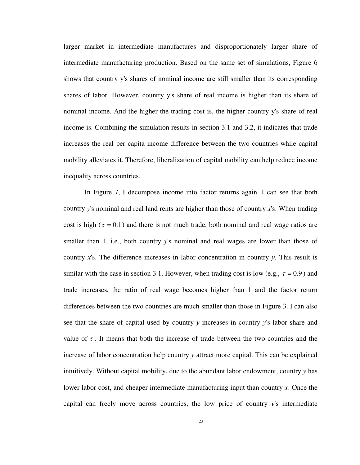larger market in intermediate manufactures and disproportionately larger share of intermediate manufacturing production. Based on the same set of simulations, Figure 6 shows that country y's shares of nominal income are still smaller than its corresponding shares of labor. However, country y's share of real income is higher than its share of nominal income. And the higher the trading cost is, the higher country y's share of real income is. Combining the simulation results in section 3.1 and 3.2, it indicates that trade increases the real per capita income difference between the two countries while capital mobility alleviates it. Therefore, liberalization of capital mobility can help reduce income inequality across countries.

In Figure 7, I decompose income into factor returns again. I can see that both country *y*'s nominal and real land rents are higher than those of country *x*'s. When trading cost is high ( $\tau = 0.1$ ) and there is not much trade, both nominal and real wage ratios are smaller than 1, i.e., both country y's nominal and real wages are lower than those of country *x*'s. The difference increases in labor concentration in country *y*. This result is similar with the case in section 3.1. However, when trading cost is low (e.g.,  $\tau = 0.9$ ) and trade increases, the ratio of real wage becomes higher than 1 and the factor return differences between the two countries are much smaller than those in Figure 3. I can also see that the share of capital used by country *y* increases in country *y*'s labor share and value of  $\tau$ . It means that both the increase of trade between the two countries and the increase of labor concentration help country *y* attract more capital. This can be explained intuitively. Without capital mobility, due to the abundant labor endowment, country *y* has lower labor cost, and cheaper intermediate manufacturing input than country *x*. Once the capital can freely move across countries, the low price of country *y*'s intermediate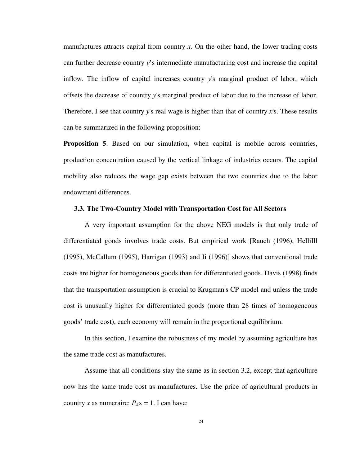manufactures attracts capital from country *x*. On the other hand, the lower trading costs can further decrease country *y*'s intermediate manufacturing cost and increase the capital inflow. The inflow of capital increases country *y*'s marginal product of labor, which offsets the decrease of country *y*'s marginal product of labor due to the increase of labor. Therefore, I see that country *y*'s real wage is higher than that of country *x*'s. These results can be summarized in the following proposition:

**Proposition 5.** Based on our simulation, when capital is mobile across countries, production concentration caused by the vertical linkage of industries occurs. The capital mobility also reduces the wage gap exists between the two countries due to the labor endowment differences.

# **3.3. The Two-Country Model with Transportation Cost for All Sectors**

A very important assumption for the above NEG models is that only trade of differentiated goods involves trade costs. But empirical work [Rauch (1996), HelliIll (1995), McCallum (1995), Harrigan (1993) and Ii (1996)] shows that conventional trade costs are higher for homogeneous goods than for differentiated goods. Davis (1998) finds that the transportation assumption is crucial to Krugman's CP model and unless the trade cost is unusually higher for differentiated goods (more than 28 times of homogeneous goods' trade cost), each economy will remain in the proportional equilibrium.

In this section, I examine the robustness of my model by assuming agriculture has the same trade cost as manufactures.

Assume that all conditions stay the same as in section 3.2, except that agriculture now has the same trade cost as manufactures. Use the price of agricultural products in country *x* as numeraire:  $P_A x = 1$ . I can have: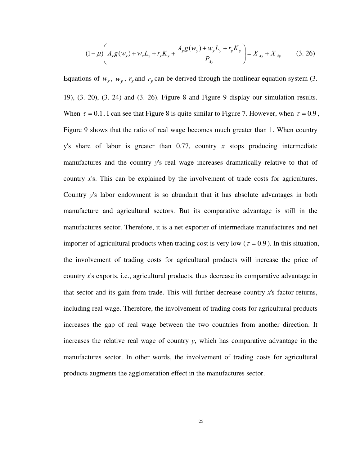$$
(1 - \mu) \left( A_x g(w_x) + w_x L_x + r_x K_x + \frac{A_y g(w_y) + w_y L_y + r_y K_y}{P_{Ay}} \right) = X_{Ax} + X_{Ay}
$$
 (3.26)

Equations of  $w_x$ ,  $w_y$ ,  $r_x$  and  $r_y$  can be derived through the nonlinear equation system (3. 19), (3. 20), (3. 24) and (3. 26). Figure 8 and Figure 9 display our simulation results. When  $\tau = 0.1$ , I can see that Figure 8 is quite similar to Figure 7. However, when  $\tau = 0.9$ , Figure 9 shows that the ratio of real wage becomes much greater than 1. When country y's share of labor is greater than 0.77, country *x* stops producing intermediate manufactures and the country *y*'s real wage increases dramatically relative to that of country *x*'s. This can be explained by the involvement of trade costs for agricultures. Country *y*'s labor endowment is so abundant that it has absolute advantages in both manufacture and agricultural sectors. But its comparative advantage is still in the manufactures sector. Therefore, it is a net exporter of intermediate manufactures and net importer of agricultural products when trading cost is very low ( $\tau = 0.9$ ). In this situation, the involvement of trading costs for agricultural products will increase the price of country *x*'s exports, i.e., agricultural products, thus decrease its comparative advantage in that sector and its gain from trade. This will further decrease country *x*'s factor returns, including real wage. Therefore, the involvement of trading costs for agricultural products increases the gap of real wage between the two countries from another direction. It increases the relative real wage of country  $y$ , which has comparative advantage in the manufactures sector. In other words, the involvement of trading costs for agricultural products augments the agglomeration effect in the manufactures sector.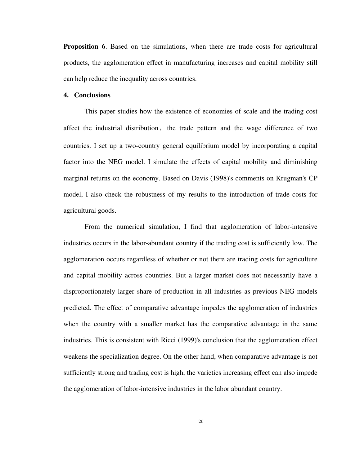**Proposition 6.** Based on the simulations, when there are trade costs for agricultural products, the agglomeration effect in manufacturing increases and capital mobility still can help reduce the inequality across countries.

## **4. Conclusions**

This paper studies how the existence of economies of scale and the trading cost affect the industrial distribution, the trade pattern and the wage difference of two countries. I set up a two-country general equilibrium model by incorporating a capital factor into the NEG model. I simulate the effects of capital mobility and diminishing marginal returns on the economy. Based on Davis (1998)'s comments on Krugman's CP model, I also check the robustness of my results to the introduction of trade costs for agricultural goods.

From the numerical simulation, I find that agglomeration of labor-intensive industries occurs in the labor-abundant country if the trading cost is sufficiently low. The agglomeration occurs regardless of whether or not there are trading costs for agriculture and capital mobility across countries. But a larger market does not necessarily have a disproportionately larger share of production in all industries as previous NEG models predicted. The effect of comparative advantage impedes the agglomeration of industries when the country with a smaller market has the comparative advantage in the same industries. This is consistent with Ricci (1999)'s conclusion that the agglomeration effect weakens the specialization degree. On the other hand, when comparative advantage is not sufficiently strong and trading cost is high, the varieties increasing effect can also impede the agglomeration of labor-intensive industries in the labor abundant country.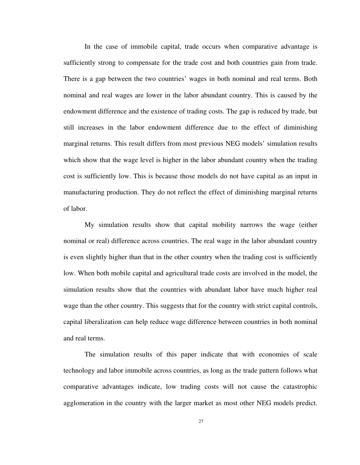In the case of immobile capital, trade occurs when comparative advantage is sufficiently strong to compensate for the trade cost and both countries gain from trade. There is a gap between the two countries' wages in both nominal and real terms. Both nominal and real wages are lower in the labor abundant country. This is caused by the endowment difference and the existence of trading costs. The gap is reduced by trade, but still increases in the labor endowment difference due to the effect of diminishing marginal returns. This result differs from most previous NEG models' simulation results which show that the wage level is higher in the labor abundant country when the trading cost is sufficiently low. This is because those models do not have capital as an input in manufacturing production. They do not reflect the effect of diminishing marginal returns of labor.

My simulation results show that capital mobility narrows the wage (either nominal or real) difference across countries. The real wage in the labor abundant country is even slightly higher than that in the other country when the trading cost is sufficiently low. When both mobile capital and agricultural trade costs are involved in the model, the simulation results show that the countries with abundant labor have much higher real wage than the other country. This suggests that for the country with strict capital controls, capital liberalization can help reduce wage difference between countries in both nominal and real terms.

The simulation results of this paper indicate that with economies of scale technology and labor immobile across countries, as long as the trade pattern follows what comparative advantages indicate, low trading costs will not cause the catastrophic agglomeration in the country with the larger market as most other NEG models predict.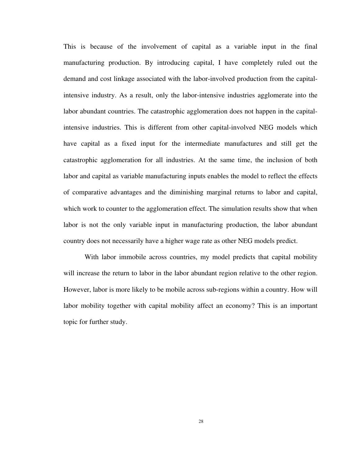This is because of the involvement of capital as a variable input in the final manufacturing production. By introducing capital, I have completely ruled out the demand and cost linkage associated with the labor-involved production from the capitalintensive industry. As a result, only the labor-intensive industries agglomerate into the labor abundant countries. The catastrophic agglomeration does not happen in the capitalintensive industries. This is different from other capital-involved NEG models which have capital as a fixed input for the intermediate manufactures and still get the catastrophic agglomeration for all industries. At the same time, the inclusion of both labor and capital as variable manufacturing inputs enables the model to reflect the effects of comparative advantages and the diminishing marginal returns to labor and capital, which work to counter to the agglomeration effect. The simulation results show that when labor is not the only variable input in manufacturing production, the labor abundant country does not necessarily have a higher wage rate as other NEG models predict.

With labor immobile across countries, my model predicts that capital mobility will increase the return to labor in the labor abundant region relative to the other region. However, labor is more likely to be mobile across sub-regions within a country. How will labor mobility together with capital mobility affect an economy? This is an important topic for further study.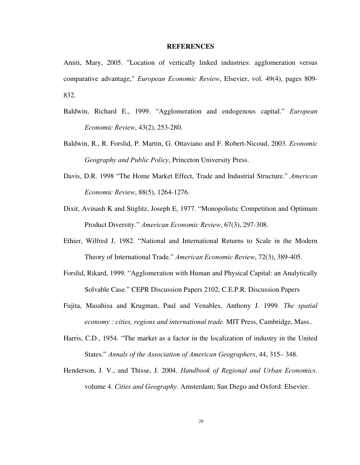#### **REFERENCES**

Amiti, Mary, 2005. "Location of vertically linked industries: agglomeration versus comparative advantage," *European Economic Review*, Elsevier, vol. 49(4), pages 809- 832.

- Baldwin, Richard E., 1999. "Agglomeration and endogenous capital." *European Economic Review*, 43(2), 253-280.
- Baldwin, R., R. Forslid, P. Martin, G. Ottaviano and F. Robert-Nicoud, 2003. *Economic Geography and Public Policy*, Princeton University Press.
- Davis, D.R. 1998 "The Home Market Effect, Trade and Industrial Structure." *American Economic Review*, 88(5), 1264-1276.
- Dixit, Avinash K and Stiglitz, Joseph E, 1977. "Monopolistic Competition and Optimum Product Diversity." *American Economic Review*, 67(3), 297-308.
- Ethier, Wilfred J, 1982. "National and International Returns to Scale in the Modern Theory of International Trade." *American Economic Review*, 72(3), 389-405.
- Forslid, Rikard, 1999. "Agglomeration with Human and Physical Capital: an Analytically Solvable Case." CEPR Discussion Papers 2102, C.E.P.R. Discussion Papers
- Fujita, Masahisa and Krugman, Paul and Venables, Anthony J. 1999. *The spatial economy : cities, regions and international trade.* MIT Press, Cambridge, Mass..
- Harris, C.D., 1954. "The market as a factor in the localization of industry in the United States." *Annals of the Association of American Geographers*, 44, 315– 348.
- Henderson, J. V., and Thisse, J. 2004. *Handbook of Regional and Urban Economics*. volume 4. *Cities and Geography*. Amsterdam; San Diego and Oxford: Elsevier.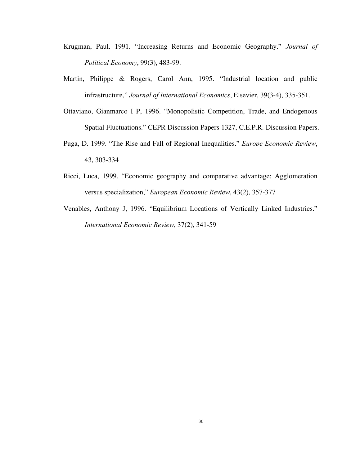- Krugman, Paul. 1991. "Increasing Returns and Economic Geography." *Journal of Political Economy*, 99(3), 483-99.
- Martin, Philippe & Rogers, Carol Ann, 1995. "Industrial location and public infrastructure," *Journal of International Economics*, Elsevier, 39(3-4), 335-351.
- Ottaviano, Gianmarco I P, 1996. "Monopolistic Competition, Trade, and Endogenous Spatial Fluctuations." CEPR Discussion Papers 1327, C.E.P.R. Discussion Papers.
- Puga, D. 1999. "The Rise and Fall of Regional Inequalities." *Europe Economic Review*, 43, 303-334
- Ricci, Luca, 1999. "Economic geography and comparative advantage: Agglomeration versus specialization," *European Economic Review*, 43(2), 357-377
- Venables, Anthony J, 1996. "Equilibrium Locations of Vertically Linked Industries." *International Economic Review*, 37(2), 341-59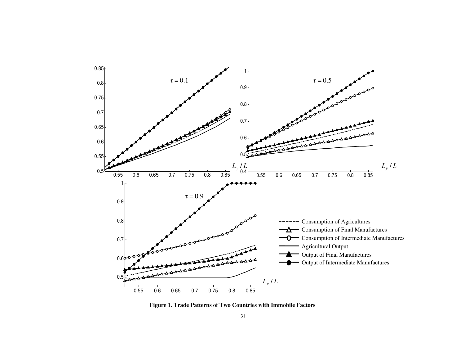

**Figure 1. Trade Patterns of Two Countries with Immobile Factors**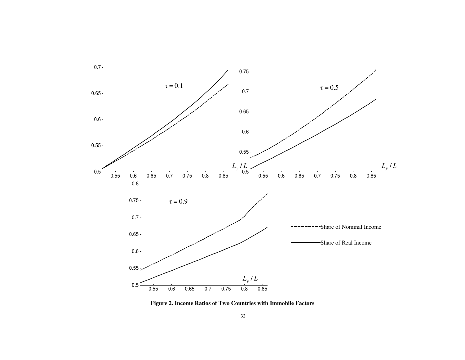

**Figure 2. Income Ratios of Two Countries with Immobile Factors**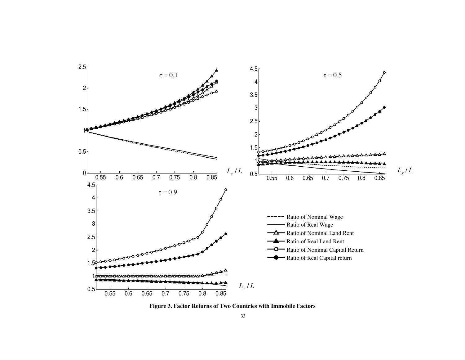

**Figure 3. Factor Returns of Two Countries with Immobile Factors**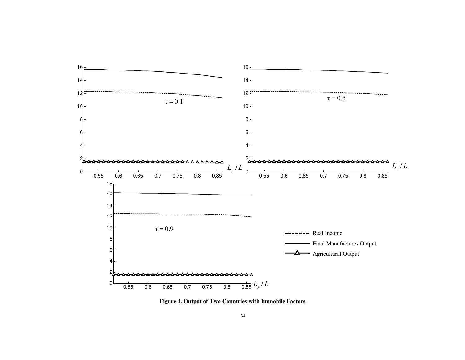

**Figure 4. Output of Two Countries with Immobile Factors**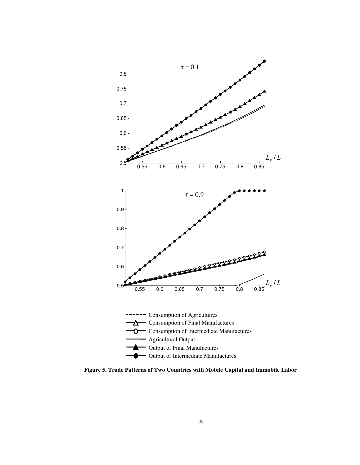

**Figure 5. Trade Patterns of Two Countries with Mobile Capital and Immobile Labor**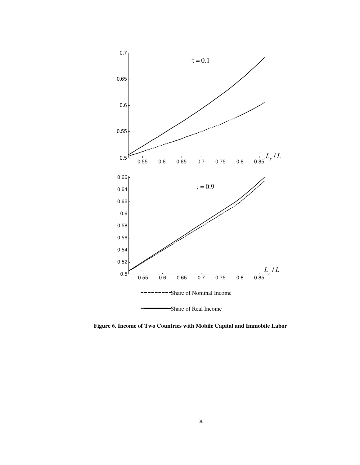

**Figure 6. Income of Two Countries with Mobile Capital and Immobile Labor**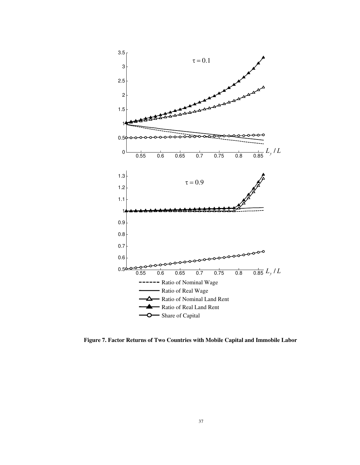

**Figure 7. Factor Returns of Two Countries with Mobile Capital and Immobile Labor**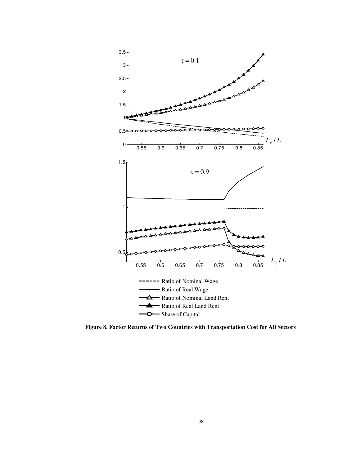

**Figure 8. Factor Returns of Two Countries with Transportation Cost for All Sectors**